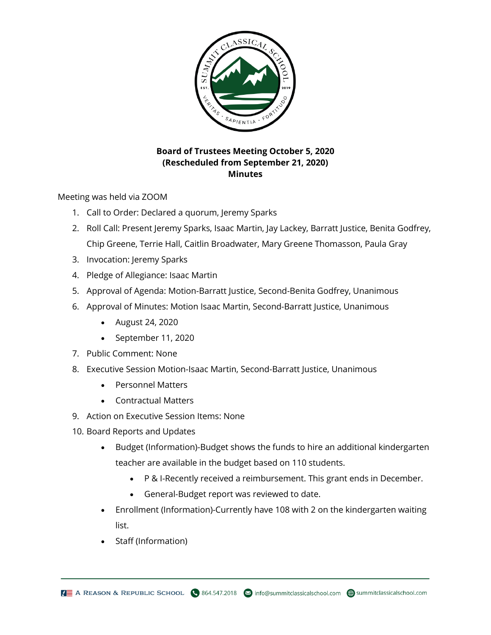

## **Board of Trustees Meeting October 5, 2020 (Rescheduled from September 21, 2020) Minutes**

Meeting was held via ZOOM

- 1. Call to Order: Declared a quorum, Jeremy Sparks
- 2. Roll Call: Present Jeremy Sparks, Isaac Martin, Jay Lackey, Barratt Justice, Benita Godfrey, Chip Greene, Terrie Hall, Caitlin Broadwater, Mary Greene Thomasson, Paula Gray
- 3. Invocation: Jeremy Sparks
- 4. Pledge of Allegiance: Isaac Martin
- 5. Approval of Agenda: Motion-Barratt Justice, Second-Benita Godfrey, Unanimous
- 6. Approval of Minutes: Motion Isaac Martin, Second-Barratt Justice, Unanimous
	- August 24, 2020
	- September 11, 2020
- 7. Public Comment: None
- 8. Executive Session Motion-Isaac Martin, Second-Barratt Justice, Unanimous
	- Personnel Matters
	- Contractual Matters
- 9. Action on Executive Session Items: None
- 10. Board Reports and Updates
	- Budget (Information)-Budget shows the funds to hire an additional kindergarten teacher are available in the budget based on 110 students.
		- P & I-Recently received a reimbursement. This grant ends in December.
		- General-Budget report was reviewed to date.
	- Enrollment (Information)-Currently have 108 with 2 on the kindergarten waiting list.
	- Staff (Information)